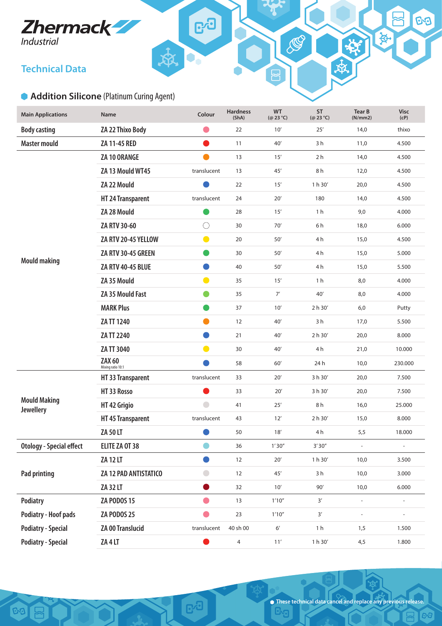# **Zhermack**

## **Technical Data**

<u>୍ତେ $\vert$ </u>

 $\sum$ 

## **Addition Silicone** (Platinum Curing Agent)

| <b>Main Applications</b>                | Name                               | Colour         | <b>Hardness</b><br>(ShA) | <b>WT</b><br>$(Q$ 23 °C) | <b>ST</b><br>$(Q$ 23 °C) | <b>Tear B</b><br>(N/mm 2) | <b>Visc</b><br>(CP)      |
|-----------------------------------------|------------------------------------|----------------|--------------------------|--------------------------|--------------------------|---------------------------|--------------------------|
| <b>Body casting</b>                     | ZA 22 Thixo Body                   |                | 22                       | 10'                      | 25'                      | 14,0                      | thixo                    |
| <b>Master mould</b>                     | ZA 11-45 RED                       | $\blacksquare$ | 11                       | 40'                      | 3 h                      | 11,0                      | 4.500                    |
|                                         | ZA 10 ORANGE                       | $\bullet$      | 13                       | 15'                      | 2 h                      | 14,0                      | 4.500                    |
|                                         | ZA 13 Mould WT45                   | translucent    | 13                       | 45'                      | 8h                       | 12,0                      | 4.500                    |
|                                         | ZA 22 Mould                        |                | 22                       | 15'                      | 1 h 30'                  | 20,0                      | 4.500                    |
|                                         | HT 24 Transparent                  | translucent    | 24                       | 20'                      | 180                      | 14,0                      | 4.500                    |
|                                         | ZA 28 Mould                        |                | 28                       | 15'                      | 1 <sub>h</sub>           | 9,0                       | 4.000                    |
|                                         | ZA RTV 30-60                       | O              | 30                       | $70'$                    | 6h                       | 18,0                      | 6.000                    |
|                                         | ZA RTV 20-45 YELLOW                | $\bullet$      | 20                       | 50'                      | 4h                       | 15,0                      | 4.500                    |
|                                         | ZA RTV 30-45 GREEN                 | $\blacksquare$ | 30                       | $50'$                    | 4h                       | 15,0                      | 5.000                    |
| <b>Mould making</b>                     | <b>ZA RTV 40-45 BLUE</b>           | $\blacksquare$ | 40                       | $50'$                    | 4h                       | 15,0                      | 5.500                    |
|                                         | ZA 35 Mould                        | $\bullet$      | 35                       | 15'                      | 1 <sub>h</sub>           | 8,0                       | 4.000                    |
|                                         | ZA 35 Mould Fast                   | $\bullet$      | 35                       | 7'                       | 40'                      | 8,0                       | 4.000                    |
|                                         | <b>MARK Plus</b>                   |                | 37                       | 10'                      | 2 h 30'                  | 6,0                       | Putty                    |
|                                         | ZA TT 1240                         | $\blacksquare$ | 12                       | 40'                      | 3h                       | 17,0                      | 5.500                    |
|                                         | ZA TT 2240                         | o              | 21                       | 40'                      | 2 h 30'                  | 20,0                      | 8.000                    |
|                                         | ZA TT 3040                         | $\bullet$      | 30                       | 40'                      | 4 h                      | 21,0                      | 10.000                   |
|                                         | <b>ZAX 60</b><br>Mixing ratio 10:1 |                | 58                       | $60'$                    | 24 h                     | 10,0                      | 230.000                  |
| <b>Mould Making</b><br><b>Jewellery</b> | HT 33 Transparent                  | translucent    | 33                       | 20'                      | 3 h 30'                  | 20,0                      | 7.500                    |
|                                         | HT33 Rosso                         |                | 33                       | 20'                      | 3 h 30'                  | 20,0                      | 7.500                    |
|                                         | HT 42 Grigio                       | $\bigcirc$     | 41                       | 25'                      | 8h                       | 16,0                      | 25.000                   |
|                                         | HT 45 Transparent                  | translucent    | 43                       | 12'                      | 2 h 30'                  | 15,0                      | 8.000                    |
|                                         | ZA 50 LT                           |                | 50                       | 18'                      | 4h                       | 5,5                       | 18.000                   |
| <b>Otology - Special effect</b>         | ELITE ZA OT 38                     |                | 36                       | 1'30''                   | 3'30''                   | Ĭ.                        | $\overline{\phantom{a}}$ |
| <b>Pad printing</b>                     | <b>ZA 12 LT</b>                    | D              | 12                       | $20'$                    | 1 h 30'                  | 10,0                      | 3.500                    |
|                                         | ZA 12 PAD ANTISTATICO              | $\bigcirc$     | 12                       | $45'$                    | 3h                       | 10,0                      | 3.000                    |
|                                         | ZA 32 LT                           | O              | 32                       | 10'                      | $90'$                    | 10,0                      | 6.000                    |
| Podiatry                                | <b>ZA PODOS 15</b>                 | $\bullet$      | 13                       | 1'10''                   | $3'$                     | $\overline{\phantom{a}}$  | $\overline{\phantom{a}}$ |
| <b>Podiatry - Hoof pads</b>             | <b>ZA PODOS 25</b>                 | $\bullet$      | 23                       | 1'10''                   | $3^\prime$               | $\overline{\phantom{a}}$  | $\overline{\phantom{a}}$ |
| <b>Podiatry - Special</b>               | ZA 00 Translucid                   | translucent    | 40 sh 00                 | $6^{\prime}$             | 1 <sub>h</sub>           | 1,5                       | 1.500                    |
| <b>Podiatry - Special</b>               | ZA 4 LT                            |                | $\overline{\mathcal{A}}$ | $11^{\prime}$            | $1 h 30'$                | 4,5                       | 1.800                    |

**B** 

ුය

 $\bullet$ 

CON

**G**a

69

资

安